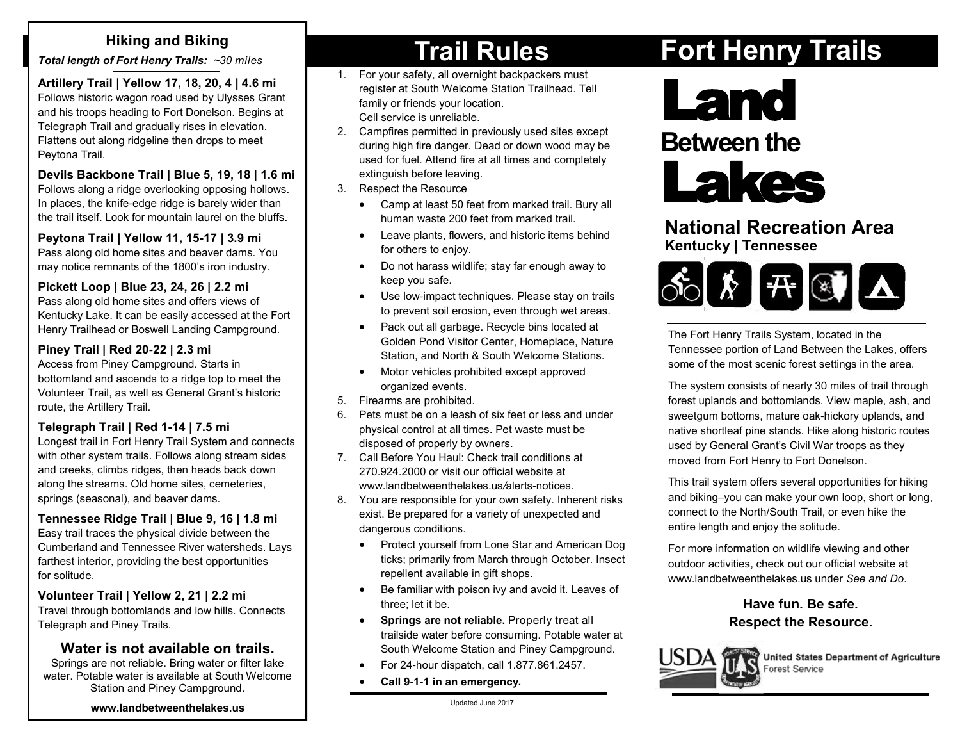*Total length of Fort Henry Trails: ~30 miles* 

**Artillery Trail | Yellow 17, 18, 20, 4 | 4.6 mi** Follows historic wagon road used by Ulysses Grant and his troops heading to Fort Donelson. Begins at Telegraph Trail and gradually rises in elevation. Flattens out along ridgeline then drops to meet Peytona Trail.

#### **Devils Backbone Trail | Blue 5, 19, 18 | 1.6 mi**

Follows along a ridge overlooking opposing hollows. In places, the knife-edge ridge is barely wider than the trail itself. Look for mountain laurel on the bluffs.

#### **Peytona Trail | Yellow 11, 15-17 | 3.9 mi**

Pass along old home sites and beaver dams. You may notice remnants of the 1800's iron industry.

#### **Pickett Loop | Blue 23, 24, 26 | 2.2 mi**

Pass along old home sites and offers views of Kentucky Lake. It can be easily accessed at the Fort Henry Trailhead or Boswell Landing Campground.

#### **Piney Trail | Red 20-22 | 2.3 mi**

Access from Piney Campground. Starts in bottomland and ascends to a ridge top to meet the Volunteer Trail, as well as General Grant's historic route, the Artillery Trail.

#### **Telegraph Trail | Red 1-14 | 7.5 mi**

Longest trail in Fort Henry Trail System and connects with other system trails. Follows along stream sides and creeks, climbs ridges, then heads back down along the streams. Old home sites, cemeteries, springs (seasonal), and beaver dams.

#### **Tennessee Ridge Trail | Blue 9, 16 | 1.8 mi**

Easy trail traces the physical divide between the Cumberland and Tennessee River watersheds. Lays farthest interior, providing the best opportunities for solitude.

#### **Volunteer Trail | Yellow 2, 21 | 2.2 mi**

Travel through bottomlands and low hills. Connects Telegraph and Piney Trails.

#### **Water is not available on trails.**

Springs are not reliable. Bring water or filter lake water. Potable water is available at South Welcome Station and Piney Campground.

#### **[www.landbetweenthelakes.us](http://www.landbetweenthelakes.us/)**

# **Hiking and Biking and Biking and Biking and Biking and Biking and Biking and Biking and Biking and Biking and Biking and Biking and Biking and Biking and Biking and Biking and Biking and Biking and Biking and Biking and B**

- 1. For your safety, all overnight backpackers must register at South Welcome Station Trailhead. Tell family or friends your location. Cell service is unreliable.
- 2. Campfires permitted in previously used sites except during high fire danger. Dead or down wood may be used for fuel. Attend fire at all times and completely extinguish before leaving.
- 3. Respect the Resource
	- Camp at least 50 feet from marked trail. Bury all human waste 200 feet from marked trail.
	- Leave plants, flowers, and historic items behind for others to enjoy.
	- Do not harass wildlife; stay far enough away to keep you safe.
	- Use low-impact techniques. Please stay on trails to prevent soil erosion, even through wet areas.
	- Pack out all garbage. Recycle bins located at Golden Pond Visitor Center, Homeplace, Nature Station, and North & South Welcome Stations.
	- Motor vehicles prohibited except approved organized events.
- 5. Firearms are prohibited.
- 6. Pets must be on a leash of six feet or less and under physical control at all times. Pet waste must be disposed of properly by owners.
- 7. Call Before You Haul: Check trail conditions at 270.924.2000 or visit our official website at www.landbetweenthelakes.us*/*alerts-notices.
- 8. You are responsible for your own safety. Inherent risks exist. Be prepared for a variety of unexpected and dangerous conditions.
	- Protect yourself from Lone Star and American Dog ticks; primarily from March through October. Insect repellent available in gift shops.
	- Be familiar with poison ivy and avoid it. Leaves of three; let it be.
	- **•** Springs are not reliable. Properly treat all trailside water before consuming. Potable water at South Welcome Station and Piney Campground.
	- For 24-hour dispatch, call 1.877.861.2457.
		- **Call 9-1-1 in an emergency.**



This trail system offers several opportunities for hiking and biking–you can make your own loop, short or long, connect to the North/South Trail, or even hike the entire length and enjoy the solitude.

For more information on wildlife viewing and other outdoor activities, check out our official website at [www.landbetweenthelakes.us](http://www.landbetweenthelakes.us/) under *See and Do*.

### **Have fun. Be safe. Respect the Resource.**



# **Fort Henry Trails**

**National Recreation Area**

The Fort Henry Trails System, located in the

Tennessee portion of Land Between the Lakes, offers some of the most scenic forest settings in the area. The system consists of nearly 30 miles of trail through forest uplands and bottomlands. View maple, ash, and sweetgum bottoms, mature oak-hickory uplands, and

 $\hat{X}$   $\bm{\pi}$   $\bm{\Im}$   $\bm{\Delta}$ 

Land

**Between the**

Lakes

**Kentucky | Tennessee**